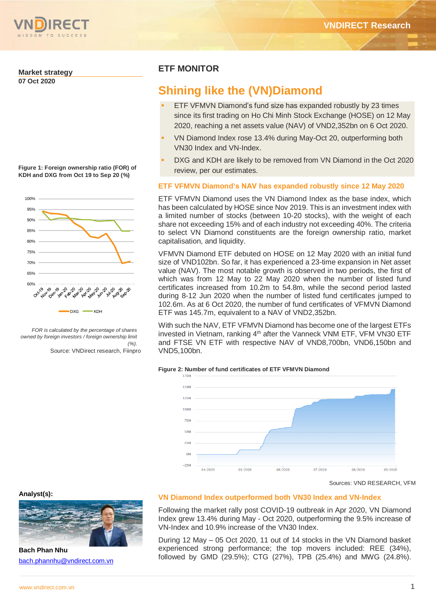

## **Market strategy**

**07 Oct 2020**

**Figure 1: Foreign ownership ratio (FOR) of KDH and DXG from Oct 19 to Sep 20 (%)**



*FOR is calculated by the percentage of shares owned by foreign investors / foreign ownership limit (%).*

Source: VNDirect research, Fiinpro

## **ETF MONITOR**

# **Shining like the (VN)Diamond**

- ETF VFMVN Diamond's fund size has expanded robustly by 23 times since its first trading on Ho Chi Minh Stock Exchange (HOSE) on 12 May 2020, reaching a net assets value (NAV) of VND2,352bn on 6 Oct 2020.
- VN Diamond Index rose 13.4% during May-Oct 20, outperforming both VN30 Index and VN-Index.
- DXG and KDH are likely to be removed from VN Diamond in the Oct 2020 review, per our estimates.

## **ETF VFMVN Diamond's NAV has expanded robustly since 12 May 2020**

ETF VFMVN Diamond uses the VN Diamond Index as the base index, which has been calculated by HOSE since Nov 2019. This is an investment index with a limited number of stocks (between 10-20 stocks), with the weight of each share not exceeding 15% and of each industry not exceeding 40%. The criteria to select VN Diamond constituents are the foreign ownership ratio, market capitalisation, and liquidity.

VFMVN Diamond ETF debuted on HOSE on 12 May 2020 with an initial fund size of VND102bn. So far, it has experienced a 23-time expansion in Net asset value (NAV). The most notable growth is observed in two periods, the first of which was from 12 May to 22 May 2020 when the number of listed fund certificates increased from 10.2m to 54.8m, while the second period lasted during 8-12 Jun 2020 when the number of listed fund certificates jumped to 102.6m. As at 6 Oct 2020, the number of fund certificates of VFMVN Diamond ETF was 145.7m, equivalent to a NAV of VND2,352bn.

With such the NAV, ETF VFMVN Diamond has become one of the largest ETFs invested in Vietnam, ranking 4<sup>th</sup> after the Vanneck VNM ETF, VFM VN30 ETF and FTSE VN ETF with respective NAV of VND8,700bn, VND6,150bn and VND5,100bn.

#### **Figure 2: Number of fund certificates of ETF VFMVN Diamond**



Sources: VND RESEARCH, VFM

#### **Analyst(s):**



**Bach Phan Nhu** [bach.phannhu@vndirect.com.vn](mailto:bach.phannhu@vndirect.com.vn)

## **VN Diamond Index outperformed both VN30 Index and VN-Index**

Following the market rally post COVID-19 outbreak in Apr 2020, VN Diamond Index grew 13.4% during May - Oct 2020, outperforming the 9.5% increase of VN-Index and 10.9% increase of the VN30 Index.

During 12 May – 05 Oct 2020, 11 out of 14 stocks in the VN Diamond basket experienced strong performance; the top movers included: REE (34%), followed by GMD (29.5%); CTG (27%), TPB (25.4%) and MWG (24.8%).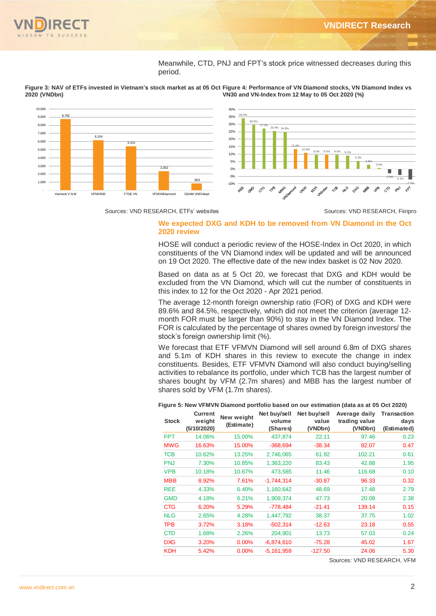

Meanwhile, CTD, PNJ and FPT's stock price witnessed decreases during this period.



**Figure 3: NAV of ETFs invested in Vietnam's stock market as at 05 Oct Figure 4: Performance of VN Diamond stocks, VN Diamond Index vs 2020 (VNDbn) VN30 and VN-Index from 12 May to 05 Oct 2020 (%)**

Sources: VND RESEARCH, ETFs' websites Sources: VND RESEARCH, Fiinpro

## **We expected DXG and KDH to be removed from VN Diamond in the Oct 2020 review**

HOSE will conduct a periodic review of the HOSE-Index in Oct 2020, in which constituents of the VN Diamond index will be updated and will be announced on 19 Oct 2020. The effective date of the new index basket is 02 Nov 2020.

Based on data as at 5 Oct 20, we forecast that DXG and KDH would be excluded from the VN Diamond, which will cut the number of constituents in this index to 12 for the Oct 2020 - Apr 2021 period.

The average 12-month foreign ownership ratio (FOR) of DXG and KDH were 89.6% and 84.5%, respectively, which did not meet the criterion (average 12 month FOR must be larger than 90%) to stay in the VN Diamond Index. The FOR is calculated by the percentage of shares owned by foreign investors/ the stock's foreign ownership limit (%).

We forecast that ETF VFMVN Diamond will sell around 6.8m of DXG shares and 5.1m of KDH shares in this review to execute the change in index constituents. Besides, ETF VFMVN Diamond will also conduct buying/selling activities to rebalance its portfolio, under which TCB has the largest number of shares bought by VFM (2.7m shares) and MBB has the largest number of shares sold by VFM (1.7m shares).

**Figure 5: New VFMVN Diamond portfolio based on our estimation (data as at 05 Oct 2020)**

| <b>Stock</b> | <b>Current</b><br>weight<br>(5/10/2020) | New weight<br>(Estimate) | Net buy/sell<br>volume<br>(Shares) | Net buy/sell<br>value<br>(VNDbn) | Average daily<br>trading value<br>(VNDbn) | Transaction<br>days<br>(Estimated) |
|--------------|-----------------------------------------|--------------------------|------------------------------------|----------------------------------|-------------------------------------------|------------------------------------|
| <b>FPT</b>   | 14.06%                                  | 15.00%                   | 437,874                            | 22.11                            | 97.46                                     | 0.23                               |
| <b>MWG</b>   | 16.63%                                  | 15.00%                   | $-368,694$                         | $-38.34$                         | 82.07                                     | 0.47                               |
| <b>TCB</b>   | 10.62%                                  | 13.25%                   | 2,746,065                          | 61.92                            | 102.21                                    | 0.61                               |
| <b>PNJ</b>   | 7.30%                                   | 10.85%                   | 1,363,220                          | 83.43                            | 42.88                                     | 1.95                               |
| <b>VPB</b>   | 10.18%                                  | 10.67%                   | 473,585                            | 11.46                            | 116.68                                    | 0.10                               |
| <b>MBB</b>   | 8.92%                                   | 7.61%                    | $-1,744,314$                       | $-30.87$                         | 96.33                                     | 0.32                               |
| <b>REE</b>   | 4.33%                                   | 6.40%                    | 1,160,642                          | 48.69                            | 17.48                                     | 2.79                               |
| <b>GMD</b>   | 4.18%                                   | 6.21%                    | 1,909,374                          | 47.73                            | 20.08                                     | 2.38                               |
| <b>CTG</b>   | 6.20%                                   | 5.29%                    | $-778,484$                         | $-21.41$                         | 139.14                                    | 0.15                               |
| <b>NLG</b>   | 2.65%                                   | 4.28%                    | 1,447,792                          | 38.37                            | 37.75                                     | 1.02                               |
| <b>TPB</b>   | 3.72%                                   | 3.18%                    | $-502,314$                         | $-12.63$                         | 23.18                                     | 0.55                               |
| <b>CTD</b>   | 1.68%                                   | 2.26%                    | 204,901                            | 13.73                            | 57.03                                     | 0.24                               |
| <b>DXG</b>   | 3.20%                                   | 0.00%                    | $-6,874,610$                       | $-75.28$                         | 45.02                                     | 1.67                               |
| <b>KDH</b>   | 5.42%                                   | $0.00\%$                 | $-5,161,959$                       | $-127.50$                        | 24.06                                     | 5.30                               |

Sources: VND RESEARCH, VFM